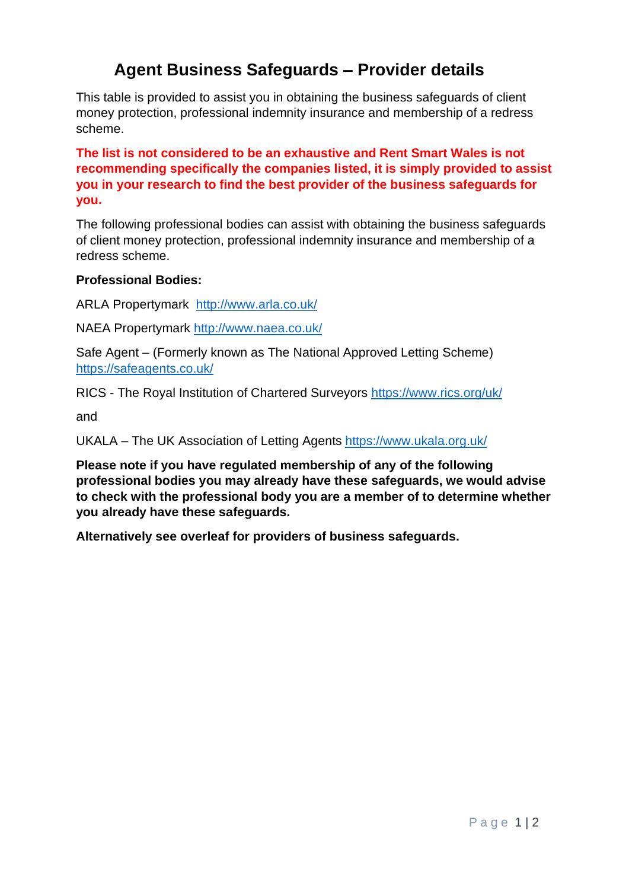## **Agent Business Safeguards – Provider details**

This table is provided to assist you in obtaining the business safeguards of client money protection, professional indemnity insurance and membership of a redress scheme.

**The list is not considered to be an exhaustive and Rent Smart Wales is not recommending specifically the companies listed, it is simply provided to assist you in your research to find the best provider of the business safeguards for you.**

The following professional bodies can assist with obtaining the business safeguards of client money protection, professional indemnity insurance and membership of a redress scheme.

## **Professional Bodies:**

ARLA Propertymark <http://www.arla.co.uk/>

NAEA Propertymark <http://www.naea.co.uk/>

Safe Agent – (Formerly known as The National Approved Letting Scheme) https://safeagents.co.uk/

RICS - The Royal Institution of Chartered Surveyors <https://www.rics.org/uk/>

and

UKALA – The UK Association of Letting Agents <https://www.ukala.org.uk/>

**Please note if you have regulated membership of any of the following professional bodies you may already have these safeguards, we would advise to check with the professional body you are a member of to determine whether you already have these safeguards.**

**Alternatively see overleaf for providers of business safeguards.**